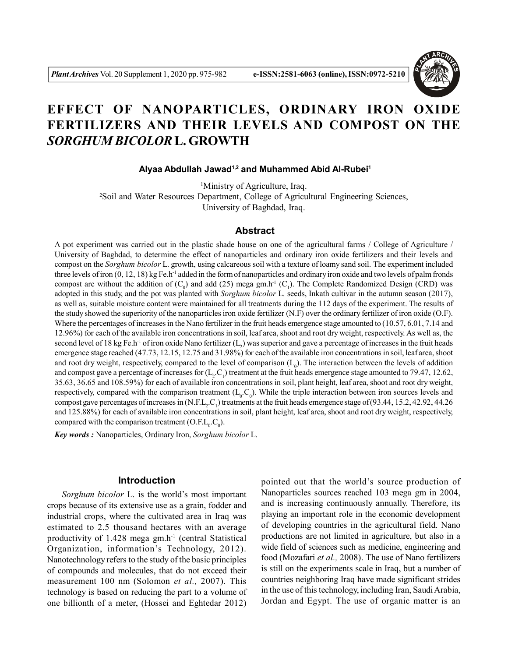

# **EFFECT OF NANOPARTICLES, ORDINARY IRON OXIDE FERTILIZERS AND THEIR LEVELS AND COMPOST ON THE** *SORGHUM BICOLOR* **L. GROWTH**

 **Alyaa Abdullah Jawad1,2 and Muhammed Abid Al-Rubei<sup>1</sup>**

<sup>1</sup>Ministry of Agriculture, Iraq. <sup>2</sup>Soil and Water Resources Department, College of Agricultural Engineering Sciences, University of Baghdad, Iraq.

#### **Abstract**

A pot experiment was carried out in the plastic shade house on one of the agricultural farms / College of Agriculture / University of Baghdad, to determine the effect of nanoparticles and ordinary iron oxide fertilizers and their levels and compost on the *Sorghum bicolor* L. growth, using calcareous soil with a texture of loamy sand soil. The experiment included three levels of iron (0, 12, 18) kg Fe.h-1 added in the form of nanoparticles and ordinary iron oxide and two levels of palm fronds compost are without the addition of  $(C_0)$  and add (25) mega gm.h<sup>-1</sup>  $(C_1)$ . The Complete Randomized Design (CRD) was adopted in this study, and the pot was planted with *Sorghum bicolor* L. seeds, Inkath cultivar in the autumn season (2017), as well as, suitable moisture content were maintained for all treatments during the 112 days of the experiment. The results of the study showed the superiority of the nanoparticles iron oxide fertilizer (N.F) over the ordinary fertilizer of iron oxide (O.F). Where the percentages of increases in the Nano fertilizer in the fruit heads emergence stage amounted to (10.57, 6.01, 7.14 and 12.96%) for each of the available iron concentrations in soil, leaf area, shoot and root dry weight, respectively. As well as, the second level of 18 kg Fe.h<sup>-1</sup> of iron oxide Nano fertilizer  $(L_2)$  was superior and gave a percentage of increases in the fruit heads emergence stage reached (47.73, 12.15, 12.75 and 31.98%) for each of the available iron concentrations in soil, leaf area, shoot and root dry weight, respectively, compared to the level of comparison  $(L_0)$ . The interaction between the levels of addition and compost gave a percentage of increases for  $(L_2.C_1)$  treatment at the fruit heads emergence stage amounted to 79.47, 12.62, 35.63, 36.65 and 108.59%) for each of available iron concentrations in soil, plant height, leaf area, shoot and root dry weight, respectively, compared with the comparison treatment  $(L_0.C_0)$ . While the triple interaction between iron sources levels and compost gave percentages of increases in (N.F.L<sub>2</sub>.C<sub>1</sub>) treatments at the fruit heads emergence stage of (93.44, 15.2, 42.92, 44.26 and 125.88%) for each of available iron concentrations in soil, plant height, leaf area, shoot and root dry weight, respectively, compared with the comparison treatment  $(O.E.L<sub>0</sub>.C<sub>0</sub>).$ 

*Key words :* Nanoparticles, Ordinary Iron, *Sorghum bicolor* L.

## **Introduction**

*Sorghum bicolor* L. is the world's most important crops because of its extensive use as a grain, fodder and industrial crops, where the cultivated area in Iraq was estimated to 2.5 thousand hectares with an average productivity of 1.428 mega gm.h-1 (central Statistical Organization, information's Technology, 2012). Nanotechnology refers to the study of the basic principles of compounds and molecules, that do not exceed their measurement 100 nm (Solomon *et al.,* 2007). This technology is based on reducing the part to a volume of one billionth of a meter, (Hossei and Eghtedar 2012)

pointed out that the world's source production of Nanoparticles sources reached 103 mega gm in 2004, and is increasing continuously annually. Therefore, its playing an important role in the economic development of developing countries in the agricultural field. Nano productions are not limited in agriculture, but also in a wide field of sciences such as medicine, engineering and food (Mozafari *et al.,* 2008). The use of Nano fertilizers is still on the experiments scale in Iraq, but a number of countries neighboring Iraq have made significant strides in the use of this technology, including Iran, Saudi Arabia, Jordan and Egypt. The use of organic matter is an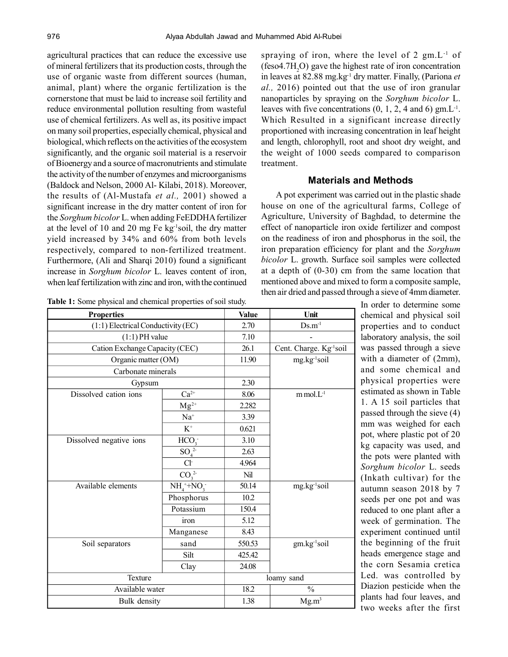agricultural practices that can reduce the excessive use of mineral fertilizers that its production costs, through the use of organic waste from different sources (human, animal, plant) where the organic fertilization is the cornerstone that must be laid to increase soil fertility and reduce environmental pollution resulting from wasteful use of chemical fertilizers. As well as, its positive impact on many soil properties, especially chemical, physical and biological, which reflects on the activities of the ecosystem significantly, and the organic soil material is a reservoir of Bioenergy and a source of macronutrients and stimulate the activity of the number of enzymes and microorganisms (Baldock and Nelson, 2000 Al- Kilabi, 2018). Moreover, the results of (Al-Mustafa *et al.,* 2001) showed a significant increase in the dry matter content of iron for the *Sorghum bicolor* L. when adding FeEDDHA fertilizer at the level of 10 and 20 mg Fe kg-1soil, the dry matter yield increased by 34% and 60% from both levels respectively, compared to non-fertilized treatment. Furthermore, (Ali and Sharqi 2010) found a significant increase in *Sorghum bicolor* L. leaves content of iron, when leaf fertilization with zinc and iron, with the continued

| Table 1: Some physical and chemical properties of soil study. |  |  |  |  |  |
|---------------------------------------------------------------|--|--|--|--|--|
|---------------------------------------------------------------|--|--|--|--|--|

spraying of iron, where the level of 2 gm.L-1 of (feso4.7H<sub>2</sub>O) gave the highest rate of iron concentration in leaves at 82.88 mg.kg-1 dry matter. Finally, (Pariona *et al.,* 2016) pointed out that the use of iron granular nanoparticles by spraying on the *Sorghum bicolor* L. leaves with five concentrations  $(0, 1, 2, 4 \text{ and } 6)$  gm.L<sup>-1</sup>. Which Resulted in a significant increase directly proportioned with increasing concentration in leaf height and length, chlorophyll, root and shoot dry weight, and the weight of 1000 seeds compared to comparison treatment.

## **Materials and Methods**

A pot experiment was carried out in the plastic shade house on one of the agricultural farms, College of Agriculture, University of Baghdad, to determine the effect of nanoparticle iron oxide fertilizer and compost on the readiness of iron and phosphorus in the soil, the iron preparation efficiency for plant and the *Sorghum bicolor* L. growth. Surface soil samples were collected at a depth of (0-30) cm from the same location that mentioned above and mixed to form a composite sample, then air dried and passed through a sieve of 4mm diameter.

| <b>Properties</b>                            | <b>Value</b>                | Unit                     |                                     |
|----------------------------------------------|-----------------------------|--------------------------|-------------------------------------|
| $(1:1)$ Electrical Conductivity (EC)         | 2.70                        | $Ds.m^{-1}$              |                                     |
| $(1:1)$ PH value                             |                             | 7.10                     |                                     |
| Cation Exchange Capacity (CEC)               |                             | 26.1                     | Cent. Charge. Kg <sup>-1</sup> soil |
| Organic matter (OM)                          |                             | 11.90                    | mg.kg <sup>-1</sup> soil            |
| Carbonate minerals                           |                             |                          |                                     |
| Gypsum                                       |                             | 2.30                     |                                     |
| Dissolved cation ions                        | $\overline{\text{Ca}^{2+}}$ | 8.06                     | $m$ mol. $L$ <sup>1</sup>           |
|                                              | $Mg^{2+}$                   | 2.282                    |                                     |
|                                              | $\mathrm{Na}^+$             | 3.39                     |                                     |
|                                              | $\rm K^+$                   | 0.621                    |                                     |
| Dissolved negative ions                      | HCO <sub>3</sub>            | 3.10                     |                                     |
|                                              | $\overline{SO_4^2}$         | 2.63                     |                                     |
|                                              | Cl <sup>2</sup>             | 4.964                    |                                     |
| CO <sub>3</sub> <sup>2</sup>                 |                             | Nil                      |                                     |
| Available elements<br>$NH_4^+ + NO_3^-$      |                             | 50.14                    | mg.kg <sup>-1</sup> soil            |
| Phosphorus<br>Potassium<br>iron<br>Manganese |                             | 10.2                     |                                     |
|                                              |                             | 150.4                    |                                     |
|                                              |                             | 5.12                     |                                     |
|                                              |                             | 8.43                     |                                     |
| Soil separators<br>sand                      |                             | 550.53                   | gm.kg <sup>-1</sup> soil            |
|                                              | Silt                        | 425.42                   |                                     |
|                                              | Clay                        | 24.08                    |                                     |
| Texture                                      |                             | loamy sand               |                                     |
| Available water                              | 18.2                        | $\overline{\frac{0}{0}}$ |                                     |
| Bulk density                                 | 1.38                        | Mg.m <sup>3</sup>        |                                     |

In order to determine some chemical and physical soil properties and to conduct laboratory analysis, the soil was passed through a sieve with a diameter of (2mm), and some chemical and physical properties were estimated as shown in Table 1. A 15 soil particles that passed through the sieve (4) mm was weighed for each pot, where plastic pot of 20 kg capacity was used, and the pots were planted with *Sorghum bicolor* L. seeds (Inkath cultivar) for the autumn season 2018 by 7 seeds per one pot and was reduced to one plant after a week of germination. The experiment continued until the beginning of the fruit heads emergence stage and the corn Sesamia cretica Led. was controlled by Diazion pesticide when the plants had four leaves, and two weeks after the first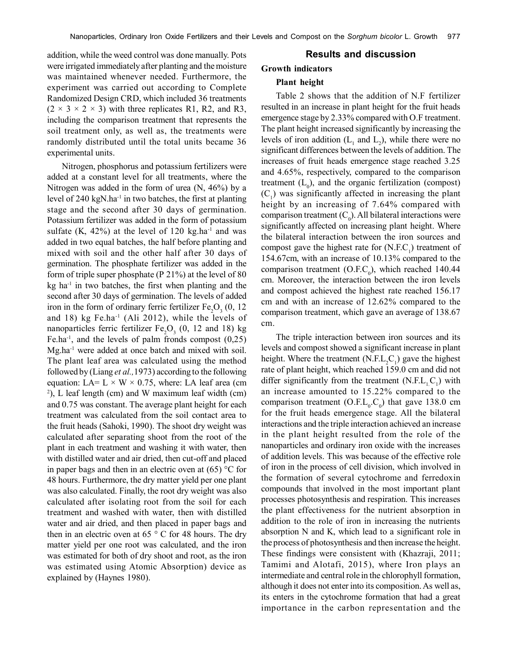addition, while the weed control was done manually. Pots were irrigated immediately after planting and the moisture was maintained whenever needed. Furthermore, the experiment was carried out according to Complete Randomized Design CRD, which included 36 treatments  $(2 \times 3 \times 2 \times 3)$  with three replicates R1, R2, and R3, including the comparison treatment that represents the soil treatment only, as well as, the treatments were randomly distributed until the total units became 36 experimental units.

Nitrogen, phosphorus and potassium fertilizers were added at a constant level for all treatments, where the Nitrogen was added in the form of urea (N, 46%) by a level of 240 kgN.ha<sup>-1</sup> in two batches, the first at planting stage and the second after 30 days of germination. Potassium fertilizer was added in the form of potassium sulfate  $(K, 42\%)$  at the level of 120 kg.ha<sup>-1</sup> and was added in two equal batches, the half before planting and mixed with soil and the other half after 30 days of germination. The phosphate fertilizer was added in the form of triple super phosphate (P 21%) at the level of 80  $kg$  ha<sup>-1</sup> in two batches, the first when planting and the second after 30 days of germination. The levels of added iron in the form of ordinary ferric fertilizer  $Fe<sub>2</sub>O<sub>3</sub>$  (0, 12 and 18) kg Fe.ha<sup>-1</sup> (Ali 2012), while the levels of nanoparticles ferric fertilizer  $Fe<sub>2</sub>O<sub>3</sub>$  (0, 12 and 18) kg Fe.ha<sup>-1</sup>, and the levels of palm fronds compost  $(0,25)$ Mg.ha-1 were added at once batch and mixed with soil. The plant leaf area was calculated using the method followed by (Liang *et al.,*1973) according to the following equation: LA=  $L \times W \times 0.75$ , where: LA leaf area (cm 2 ), L leaf length (cm) and W maximum leaf width (cm) and 0.75 was constant. The average plant height for each treatment was calculated from the soil contact area to the fruit heads (Sahoki, 1990). The shoot dry weight was calculated after separating shoot from the root of the plant in each treatment and washing it with water, then with distilled water and air dried, then cut-off and placed in paper bags and then in an electric oven at  $(65)$  °C for 48 hours. Furthermore, the dry matter yield per one plant was also calculated. Finally, the root dry weight was also calculated after isolating root from the soil for each treatment and washed with water, then with distilled water and air dried, and then placed in paper bags and then in an electric oven at 65 $\degree$  C for 48 hours. The dry matter yield per one root was calculated, and the iron was estimated for both of dry shoot and root, as the iron was estimated using Atomic Absorption) device as explained by (Haynes 1980).

# **Results and discussion**

## **Growth indicators**

#### **Plant height**

Table 2 shows that the addition of N.F fertilizer resulted in an increase in plant height for the fruit heads emergence stage by 2.33% compared with O.F treatment. The plant height increased significantly by increasing the levels of iron addition  $(L_1$  and  $L_2$ ), while there were no significant differences between the levels of addition. The increases of fruit heads emergence stage reached 3.25 and 4.65%, respectively, compared to the comparison treatment  $(L_0)$ , and the organic fertilization (compost)  $(C_1)$  was significantly affected in increasing the plant height by an increasing of 7.64% compared with comparison treatment  $(C_0)$ . All bilateral interactions were significantly affected on increasing plant height. Where the bilateral interaction between the iron sources and compost gave the highest rate for  $(N.F.C<sub>1</sub>)$  treatment of 154.67cm, with an increase of 10.13% compared to the comparison treatment (O.F.C<sub>0</sub>), which reached 140.44 cm. Moreover, the interaction between the iron levels and compost achieved the highest rate reached 156.17 cm and with an increase of 12.62% compared to the comparison treatment, which gave an average of 138.67 cm.

The triple interaction between iron sources and its levels and compost showed a significant increase in plant height. Where the treatment  $(N.F.L_2C_1)$  gave the highest rate of plant height, which reached 159.0 cm and did not differ significantly from the treatment  $(N.E.L<sub>1</sub>C<sub>1</sub>)$  with an increase amounted to 15.22% compared to the comparison treatment (O.F. $L_0$ , $C_0$ ) that gave 138.0 cm for the fruit heads emergence stage. All the bilateral interactions and the triple interaction achieved an increase in the plant height resulted from the role of the nanoparticles and ordinary iron oxide with the increases of addition levels. This was because of the effective role of iron in the process of cell division, which involved in the formation of several cytochrome and ferredoxin compounds that involved in the most important plant processes photosynthesis and respiration. This increases the plant effectiveness for the nutrient absorption in addition to the role of iron in increasing the nutrients absorption N and K, which lead to a significant role in the process of photosynthesis and then increase the height. These findings were consistent with (Khazraji, 2011; Tamimi and Alotafi, 2015), where Iron plays an intermediate and central role in the chlorophyll formation, although it does not enter into its composition. As well as, its enters in the cytochrome formation that had a great importance in the carbon representation and the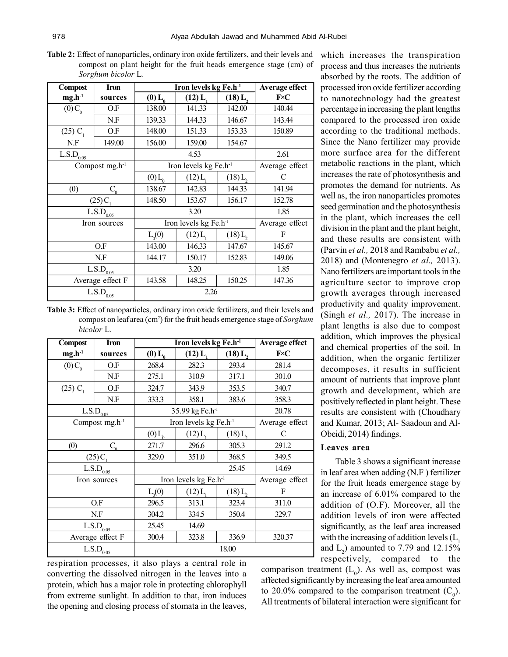**Table 2:** Effect of nanoparticles, ordinary iron oxide fertilizers, and their levels and compost on plant height for the fruit heads emergence stage (cm) of *Sorghum bicolor* L.

| <b>Compost</b>                                 | Iron                        | Iron levels kg Fe.h-1      | Average effect                    |           |                |
|------------------------------------------------|-----------------------------|----------------------------|-----------------------------------|-----------|----------------|
| $mg.h^{-1}$                                    | sources                     | $(0)$ $L_0$                | (12) L                            | $(18)$ L, | $F\n< C$       |
| $(0)C_{0}$                                     | O.F                         | 138.00                     | 141.33                            | 142.00    | 140.44         |
|                                                | N.F                         | 139.33                     | 144.33                            | 146.67    | 143.44         |
| $(25)$ C <sub>1</sub>                          | O.F                         | 148.00                     | 151.33                            | 153.33    | 150.89         |
| N.F                                            | 149.00                      | 156.00                     | 159.00                            | 154.67    |                |
| L.S.D <sub>0.05</sub>                          |                             |                            | 4.53                              |           | 2.61           |
|                                                | Compost $mg.h^{-1}$         |                            | Iron levels kg Fe.h <sup>-1</sup> |           | Average effect |
|                                                |                             | $(0)$ L <sub>0</sub>       | (12) L                            | $(18)$ L, | C              |
| (0)                                            | $C_{\scriptscriptstyle{0}}$ | 138.67                     | 142.83                            | 144.33    | 141.94         |
| $(25)C_1$                                      |                             | 148.50                     | 153.67                            | 156.17    | 152.78         |
| $\overline{L}$ .S.D <sub>0.05</sub>            |                             | 3.20                       |                                   |           | 1.85           |
|                                                | Iron sources                |                            | Iron levels kg Fe.h <sup>-1</sup> |           |                |
|                                                |                             | $L_0(0)$                   | $(12) L_1$                        | (18) L,   | F              |
|                                                | O.F                         | 143.00                     | 146.33                            | 147.67    | 145.67         |
|                                                | N.F                         | 144.17                     | 150.17                            | 152.83    | 149.06         |
| $L.S.D_{0.05}$                                 |                             | 3.20                       |                                   | 1.85      |                |
|                                                | Average effect F            | 143.58<br>148.25<br>150.25 |                                   | 147.36    |                |
| $\overline{\text{L}}.\text{S}.\text{D}_{0.05}$ |                             |                            | 2.26                              |           |                |

**Table 3:** Effect of nanoparticles, ordinary iron oxide fertilizers, and their levels and compost on leaf area (cm<sup>2</sup>) for the fruit heads emergence stage of *Sorghum bicolor* L.

| <b>Compost</b>                      | <b>Iron</b>                      | Iron levels kg Fe.h-1<br><b>Average effect</b> |                                   |                     |                |
|-------------------------------------|----------------------------------|------------------------------------------------|-----------------------------------|---------------------|----------------|
| $mg.h^{-1}$                         | sources                          | $(0)$ $L_{0}$                                  | $(12) L_1$                        | (18) L <sub>2</sub> | FxC            |
| $(0)C_{0}$                          | O.F                              | 268.4                                          | 282.3                             | 293.4               | 281.4          |
|                                     | N.F                              | 275.1                                          | 310.9                             | 317.1               | 301.0          |
| $(25)$ C <sub>1</sub>               | O.F                              | 324.7                                          | 343.9                             | 353.5               | 340.7          |
|                                     | N.F                              | 333.3                                          | 358.1                             | 383.6               | 358.3          |
|                                     | L.S.D <sub>0.05</sub>            | 35.99 kg Fe.h <sup>-1</sup>                    | 20.78                             |                     |                |
|                                     | Compost $mg.h^{-1}$              |                                                | Iron levels kg Fe.h <sup>-1</sup> |                     | Average effect |
|                                     |                                  | $(0)$ $L_{0}$                                  | $(12) L_1$                        | $(18)$ L,           | C              |
| (0)                                 | $C_{\scriptscriptstyle{\alpha}}$ | 271.7                                          | 296.6                             | 305.3               | 291.2          |
| $(25)C_1$                           |                                  | 329.0                                          | 351.0                             | 368.5               | 349.5          |
| $\overline{L}$ .S.D <sub>0.05</sub> |                                  |                                                |                                   | 25.45               | 14.69          |
| Iron sources                        |                                  | Iron levels $kg Fe.h^{-1}$                     |                                   |                     | Average effect |
|                                     |                                  | $L_0(0)$                                       | $(12) L_1$                        | (18) L,             | F              |
|                                     | O.F                              | 296.5                                          | 313.1                             | 323.4               | 311.0          |
|                                     | N.F                              | 304.2                                          | 334.5                             | 350.4               | 329.7          |
|                                     | L.S.D <sub>0.05</sub>            | 25.45                                          | 14.69                             |                     |                |
|                                     | Average effect F                 | 300.4                                          | 323.8                             | 336.9<br>320.37     |                |
| $\mathrm{L.S.D}_{0.05}$             |                                  |                                                |                                   | 18.00               |                |

respiration processes, it also plays a central role in converting the dissolved nitrogen in the leaves into a protein, which has a major role in protecting chlorophyll from extreme sunlight. In addition to that, iron induces the opening and closing process of stomata in the leaves, which increases the transpiration process and thus increases the nutrients absorbed by the roots. The addition of processed iron oxide fertilizer according to nanotechnology had the greatest percentage in increasing the plant lengths compared to the processed iron oxide according to the traditional methods. Since the Nano fertilizer may provide more surface area for the different metabolic reactions in the plant, which increases the rate of photosynthesis and promotes the demand for nutrients. As well as, the iron nanoparticles promotes seed germination and the photosynthesis in the plant, which increases the cell division in the plant and the plant height, and these results are consistent with (Parvin *et al.,* 2018 and Rambabu *et al.,* 2018) and (Montenegro *et al.,* 2013). Nano fertilizers are important tools in the agriculture sector to improve crop growth averages through increased productivity and quality improvement. (Singh *et al.,* 2017). The increase in plant lengths is also due to compost addition, which improves the physical and chemical properties of the soil. In addition, when the organic fertilizer decomposes, it results in sufficient amount of nutrients that improve plant growth and development, which are positively reflected in plant height. These results are consistent with (Choudhary and Kumar, 2013; Al- Saadoun and Al-Obeidi, 2014) findings.

## **Leaves area**

Table 3 shows a significant increase in leaf area when adding (N.F ) fertilizer for the fruit heads emergence stage by an increase of 6.01% compared to the addition of (O.F). Moreover, all the addition levels of iron were affected significantly, as the leaf area increased with the increasing of addition levels  $(L<sub>1</sub>)$ and  $L_2$ ) amounted to 7.79 and 12.15% respectively, compared to the

comparison treatment  $(L_0)$ . As well as, compost was affected significantly by increasing the leaf area amounted to 20.0% compared to the comparison treatment  $(C_0)$ . All treatments of bilateral interaction were significant for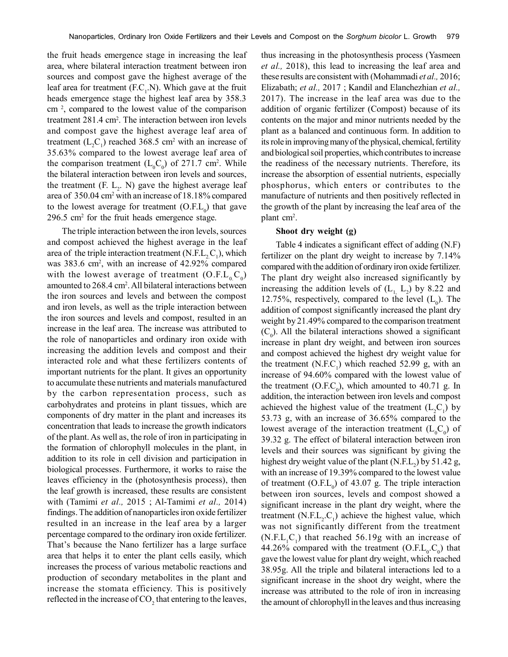the fruit heads emergence stage in increasing the leaf area, where bilateral interaction treatment between iron sources and compost gave the highest average of the leaf area for treatment  $(F.C<sub>1</sub> N)$ . Which gave at the fruit heads emergence stage the highest leaf area by 358.3 cm <sup>2</sup> , compared to the lowest value of the comparison treatment 281.4 cm<sup>2</sup> . The interaction between iron levels and compost gave the highest average leaf area of treatment ( $L_2C_1$ ) reached 368.5 cm<sup>2</sup> with an increase of 35.63% compared to the lowest average leaf area of the comparison treatment  $(L_0 C_0)$  of 271.7 cm<sup>2</sup>. While the bilateral interaction between iron levels and sources, the treatment  $(F_1, L_2, N)$  gave the highest average leaf area of 350.04 cm<sup>2</sup> with an increase of 18.18% compared to the lowest average for treatment  $(O.E.L<sub>0</sub>)$  that gave 296.5 cm<sup>2</sup> for the fruit heads emergence stage.

The triple interaction between the iron levels, sources and compost achieved the highest average in the leaf area of the triple interaction treatment (N.F.L<sub>2</sub>C<sub>1</sub>), which was 383.6 cm<sup>2</sup>, with an increase of 42.92% compared with the lowest average of treatment  $(O.F.L_0.C_0)$ amounted to 268.4 cm<sup>2</sup>. All bilateral interactions between the iron sources and levels and between the compost and iron levels, as well as the triple interaction between the iron sources and levels and compost, resulted in an increase in the leaf area. The increase was attributed to the role of nanoparticles and ordinary iron oxide with increasing the addition levels and compost and their interacted role and what these fertilizers contents of important nutrients for the plant. It gives an opportunity to accumulate these nutrients and materials manufactured by the carbon representation process, such as carbohydrates and proteins in plant tissues, which are components of dry matter in the plant and increases its concentration that leads to increase the growth indicators of the plant. As well as, the role of iron in participating in the formation of chlorophyll molecules in the plant, in addition to its role in cell division and participation in biological processes. Furthermore, it works to raise the leaves efficiency in the (photosynthesis process), then the leaf growth is increased, these results are consistent with (Tamimi *et al.,* 2015 ; Al-Tamimi *et al.,* 2014) findings. The addition of nanoparticles iron oxide fertilizer resulted in an increase in the leaf area by a larger percentage compared to the ordinary iron oxide fertilizer. That's because the Nano fertilizer has a large surface area that helps it to enter the plant cells easily, which increases the process of various metabolic reactions and production of secondary metabolites in the plant and increase the stomata efficiency. This is positively reflected in the increase of  $CO_2$  that entering to the leaves,

thus increasing in the photosynthesis process (Yasmeen *et al.,* 2018), this lead to increasing the leaf area and these results are consistent with (Mohammadi *et al.,* 2016; Elizabath; *et al.,* 2017 ; Kandil and Elanchezhian *et al.,* 2017). The increase in the leaf area was due to the addition of organic fertilizer (Compost) because of its contents on the major and minor nutrients needed by the plant as a balanced and continuous form. In addition to its role in improving many of the physical, chemical, fertility and biological soil properties, which contributes to increase the readiness of the necessary nutrients. Therefore, its increase the absorption of essential nutrients, especially phosphorus, which enters or contributes to the manufacture of nutrients and then positively reflected in the growth of the plant by increasing the leaf area of the plant cm<sup>2</sup>.

#### **Shoot dry weight (g)**

Table 4 indicates a significant effect of adding (N.F) fertilizer on the plant dry weight to increase by 7.14% compared with the addition of ordinary iron oxide fertilizer. The plant dry weight also increased significantly by increasing the addition levels of  $(L_{1, L_{2}})$  by 8.22 and 12.75%, respectively, compared to the level  $(L_0)$ . The addition of compost significantly increased the plant dry weight by 21.49% compared to the comparison treatment  $(C_0)$ . All the bilateral interactions showed a significant increase in plant dry weight, and between iron sources and compost achieved the highest dry weight value for the treatment  $(N.F.C<sub>1</sub>)$  which reached 52.99 g, with an increase of 94.60% compared with the lowest value of the treatment (O.F.C<sub>0</sub>), which amounted to 40.71 g. In addition, the interaction between iron levels and compost achieved the highest value of the treatment  $(L_2C_1)$  by 53.73 g, with an increase of 36.65% compared to the lowest average of the interaction treatment  $(L_0C_0)$  of 39.32 g. The effect of bilateral interaction between iron levels and their sources was significant by giving the highest dry weight value of the plant  $(N.F.L_2)$  by 51.42 g, with an increase of 19.39% compared to the lowest value of treatment  $(O.E.L_0)$  of 43.07 g. The triple interaction between iron sources, levels and compost showed a significant increase in the plant dry weight, where the treatment (N.F. $L_2$ .C<sub>1</sub>) achieve the highest value, which was not significantly different from the treatment  $(N.F.L<sub>1</sub>C<sub>1</sub>)$  that reached 56.19g with an increase of 44.26% compared with the treatment  $(O.F.L<sub>0</sub>.C<sub>0</sub>)$  that gave the lowest value for plant dry weight, which reached 38.95g. All the triple and bilateral interactions led to a significant increase in the shoot dry weight, where the increase was attributed to the role of iron in increasing the amount of chlorophyll in the leaves and thus increasing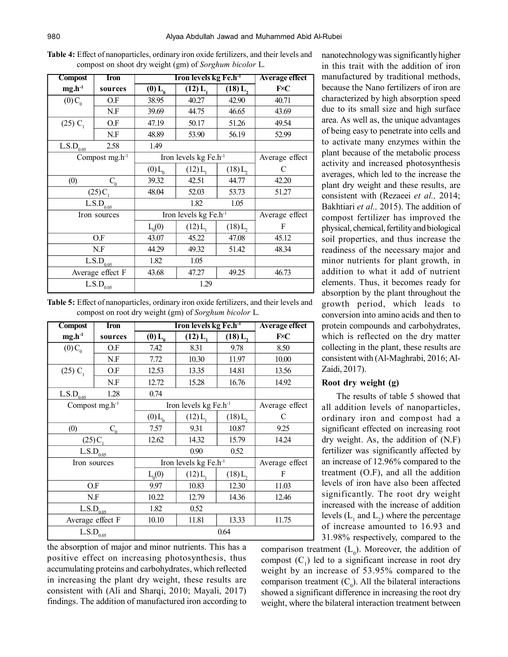| <b>Table 4:</b> Effect of nanoparticles, ordinary iron oxide fertilizers, and their levels and |  |  |
|------------------------------------------------------------------------------------------------|--|--|
| compost on shoot dry weight (gm) of Sorghum bicolor L.                                         |  |  |

| Compost                             | <b>Iron</b>         | Iron levels kg Fe.h <sup>-1</sup><br><b>Average effect</b> |            |                       |                |
|-------------------------------------|---------------------|------------------------------------------------------------|------------|-----------------------|----------------|
| $mg.h^{-1}$                         | sources             | $(0)$ $L_a$                                                | $(12) L_1$ | (18) L,               | $F\n< C$       |
| $(0)C_{0}$                          | O.F                 | 38.95                                                      | 40.27      | 42.90                 | 40.71          |
|                                     | N.F                 | 39.69                                                      | 44.75      | 46.65                 | 43.69          |
| $(25)$ C <sub>1</sub>               | O.F                 | 47.19                                                      | 50.17      | 51.26                 | 49.54          |
|                                     | N.F                 | 48.89                                                      | 53.90      | 56.19                 | 52.99          |
| $L.S.D_{0.05}$                      | 2.58                | 1.49                                                       |            |                       |                |
|                                     | Compost $mg.h^{-1}$ | Iron levels kg Fe.h <sup>-1</sup>                          |            |                       | Average effect |
|                                     |                     | $(0)$ <sub><math>L_0</math></sub>                          | (12) L     | $(18)$ L,             |                |
| (0)                                 | $\mathbf{C}_0$      | 39.32                                                      | 42.51      | 44.77                 | 42.20          |
| $(25)C_1$                           |                     | 48.04                                                      | 52.03      | 53.73                 | 51.27          |
| $\overline{L}$ .S.D <sub>0.05</sub> |                     |                                                            | 1.82       | 1.05                  |                |
| Iron sources                        |                     | Iron levels kg Fe.h <sup>-1</sup>                          |            |                       | Average effect |
|                                     |                     | $L_0(0)$                                                   | (12) L     | $(18)$ L <sub>2</sub> | F              |
|                                     | O.F                 | 43.07                                                      | 45.22      | 47.08                 | 45.12          |
| N.F                                 |                     | 44.29                                                      | 49.32      | 51.42                 | 48.34          |
| $\overline{L}$ .S.D <sub>0.05</sub> |                     | 1.82                                                       | 1.05       |                       |                |
|                                     | Average effect F    | 43.68                                                      | 47.27      | 49.25                 | 46.73          |
| $\mathrm{L.S.D}_{0.05}$             |                     |                                                            | 1.29       |                       |                |

**Table 5:** Effect of nanoparticles, ordinary iron oxide fertilizers, and their levels and compost on root dry weight (gm) of *Sorghum bicolor* L.

| <b>Compost</b>          | Iron         | Iron levels kg Fe.h <sup>-1</sup><br><b>Average effect</b> |                                     |                       |                |
|-------------------------|--------------|------------------------------------------------------------|-------------------------------------|-----------------------|----------------|
| $mg.h^{-1}$             | sources      | $(0)$ $L_0$                                                | $(12) L_1$                          | (18) L,               | $F\n< C$       |
| $(0)C_{0}$              | O.F          | 7.42                                                       | 8.31                                | 9.78                  | 8.50           |
|                         | N.F          | 7.72                                                       | 10.30                               | 11.97                 | 10.00          |
| $(25)$ C <sub>1</sub>   | O.F          | 12.53                                                      | 13.35                               | 14.81                 | 13.56          |
|                         | N.F          | 12.72                                                      | 15.28                               | 16.76                 | 14.92          |
| L.S.D <sub>0.05</sub>   | 1.28         | 0.74                                                       |                                     |                       |                |
| Compost $mg.h^{-1}$     |              |                                                            | Iron levels kg Fe. $h$ <sup>1</sup> |                       | Average effect |
|                         |              | $(0)$ L <sub>0</sub>                                       | $(12) L_1$                          | $(18)$ L <sub>2</sub> | C              |
| (0)                     | $C_{\alpha}$ | 7.57                                                       | 9.31                                | 10.87                 | 9.25           |
| (25)C                   |              | 12.62                                                      | 14.32                               | 15.79                 | 14.24          |
| $L.S.D_{0.05}$          |              |                                                            | 0.90                                | 0.52                  |                |
| Iron sources            |              | Iron levels kg Fe.h <sup>-1</sup>                          |                                     |                       | Average effect |
|                         |              | $L_0(0)$                                                   | $(12) L_1$                          | $(18)$ L <sub>2</sub> | F              |
| O.F                     |              | 9.97                                                       | 10.83                               | 12.30                 | 11.03          |
| N.F                     |              | 10.22                                                      | 12.79                               | 14.36                 | 12.46          |
| L.S.D <sub>0.05</sub>   |              | 1.82                                                       | 0.52                                |                       |                |
| Average effect F        |              | 10.10                                                      | 11.81                               | 13.33                 | 11.75          |
| $\mathrm{L.S.D}_{0.05}$ |              |                                                            |                                     | 0.64                  |                |

the absorption of major and minor nutrients. This has a positive effect on increasing photosynthesis, thus accumulating proteins and carbohydrates, which reflected in increasing the plant dry weight, these results are consistent with (Ali and Sharqi, 2010; Mayali, 2017) findings. The addition of manufactured iron according to nanotechnology was significantly higher in this trait with the addition of iron manufactured by traditional methods, because the Nano fertilizers of iron are characterized by high absorption speed due to its small size and high surface area. As well as, the unique advantages of being easy to penetrate into cells and to activate many enzymes within the plant because of the metabolic process activity and increased photosynthesis averages, which led to the increase the plant dry weight and these results, are consistent with (Rezaeei *et al.,* 2014; Bakhtiari *et al.,* 2015). The addition of compost fertilizer has improved the physical, chemical, fertility and biological soil properties, and thus increase the readiness of the necessary major and minor nutrients for plant growth, in addition to what it add of nutrient elements. Thus, it becomes ready for absorption by the plant throughout the growth period, which leads to conversion into amino acids and then to protein compounds and carbohydrates, which is reflected on the dry matter collecting in the plant, these results are consistent with (Al-Maghrabi, 2016; Al-Zaidi, 2017).

#### **Root dry weight (g)**

The results of table 5 showed that all addition levels of nanoparticles, ordinary iron and compost had a significant effected on increasing root dry weight. As, the addition of (N.F) fertilizer was significantly affected by an increase of 12.96% compared to the treatment (O.F), and all the addition levels of iron have also been affected significantly. The root dry weight increased with the increase of addition levels  $(L_1$  and  $L_2$ ) where the percentage of increase amounted to 16.93 and 31.98% respectively, compared to the

comparison treatment  $(L_0)$ . Moreover, the addition of compost  $(C_1)$  led to a significant increase in root dry weight by an increase of 53.95% compared to the comparison treatment  $(C_0)$ . All the bilateral interactions showed a significant difference in increasing the root dry weight, where the bilateral interaction treatment between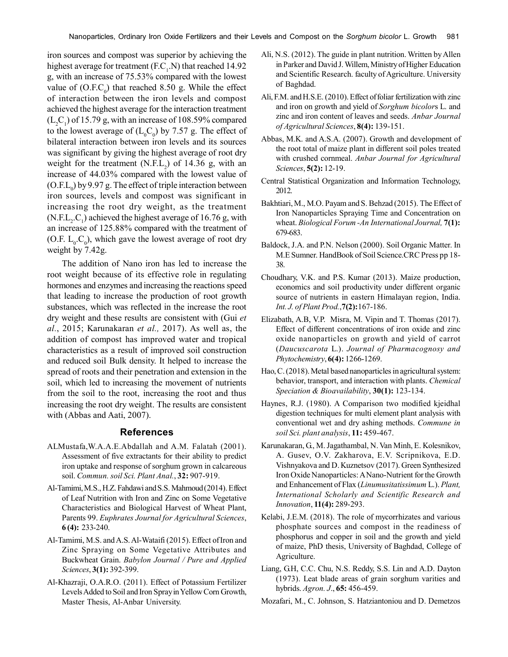iron sources and compost was superior by achieving the highest average for treatment  $(F.C<sub>1</sub>, N)$  that reached 14.92 g, with an increase of 75.53% compared with the lowest value of  $(O.F.C<sub>0</sub>)$  that reached 8.50 g. While the effect of interaction between the iron levels and compost achieved the highest average for the interaction treatment  $(L_2C_1)$  of 15.79 g, with an increase of 108.59% compared to the lowest average of  $(L_0 C_0)$  by 7.57 g. The effect of bilateral interaction between iron levels and its sources was significant by giving the highest average of root dry weight for the treatment  $(N.E.L<sub>2</sub>)$  of 14.36 g, with an increase of 44.03% compared with the lowest value of  $(O.E.L<sub>0</sub>)$  by 9.97 g. The effect of triple interaction between iron sources, levels and compost was significant in increasing the root dry weight, as the treatment  $(N.F.L<sub>2</sub>.C<sub>1</sub>)$  achieved the highest average of 16.76 g, with an increase of 125.88% compared with the treatment of (O.F.  $L_0.C_0$ ), which gave the lowest average of root dry weight by 7.42g.

The addition of Nano iron has led to increase the root weight because of its effective role in regulating hormones and enzymes and increasing the reactions speed that leading to increase the production of root growth substances, which was reflected in the increase the root dry weight and these results are consistent with (Gui *et al.*, 2015; Karunakaran *et al.,* 2017). As well as, the addition of compost has improved water and tropical characteristics as a result of improved soil construction and reduced soil Bulk density. It helped to increase the spread of roots and their penetration and extension in the soil, which led to increasing the movement of nutrients from the soil to the root, increasing the root and thus increasing the root dry weight. The results are consistent with (Abbas and Aati, 2007).

#### **References**

- ALMustafa,W.A.A.E.Abdallah and A.M. Falatah (2001). Assessment of five extractants for their ability to predict iron uptake and response of sorghum grown in calcareous soil. *Commun. soil Sci. Plant Anal.*, **32:** 907-919.
- Al-Tamimi, M.S., H.Z. Fahdawi and S.S. Mahmoud (2014). Effect of Leaf Nutrition with Iron and Zinc on Some Vegetative Characteristics and Biological Harvest of Wheat Plant, Parents 99. *Euphrates Journal for Agricultural Sciences*, **6 (4):** 233-240.
- Al-Tamimi, M.S. and A.S. Al-Wataifi (2015). Effect of Iron and Zinc Spraying on Some Vegetative Attributes and Buckwheat Grain. *Babylon Journal / Pure and Applied Sciences*, **3(1):** 392-399.
- Al-Khazraji, O.A.R.O. (2011). Effect of Potassium Fertilizer Levels Added to Soil and Iron Spray in Yellow Corn Growth, Master Thesis, Al-Anbar University.
- Ali, N.S. (2012). The guide in plant nutrition. Written by Allen in Parker and David J. Willem, Ministry of Higher Education and Scientific Research. faculty of Agriculture. University of Baghdad.
- Ali, F.M. and H.S.E. (2010). Effect of foliar fertilization with zinc and iron on growth and yield of *Sorghum bicolor*s L. and zinc and iron content of leaves and seeds. *Anbar Journal of Agricultural Sciences*, **8(4):** 139-151.
- Abbas, M.K. and A.S.A. (2007). Growth and development of the root total of maize plant in different soil poles treated with crushed cornmeal. *Anbar Journal for Agricultural Sciences*, **5(2):** 12-19.
- Central Statistical Organization and Information Technology, 2012.
- Bakhtiari, M., M.O. Payam and S. Behzad (2015). The Effect of Iron Nanoparticles Spraying Time and Concentration on wheat. *Biological Forum -An International Journal,* **7(1):** 679-683.
- Baldock, J.A. and P.N. Nelson (2000). Soil Organic Matter. In M.E Sumner. HandBook of Soil Science.CRC Press pp 18- 38.
- Choudhary, V.K. and P.S. Kumar (2013). Maize production, economics and soil productivity under different organic source of nutrients in eastern Himalayan region, India. *Int. J. of Plant Prod.*,**7(2):**167-186.
- Elizabath, A.B, V.P. Misra, M. Vipin and T. Thomas (2017). Effect of different concentrations of iron oxide and zinc oxide nanoparticles on growth and yield of carrot (*Daucuscarota* L.). *Journal of Pharmacognosy and Phytochemistry*, **6(4):** 1266-1269.
- Hao, C. (2018). Metal based nanoparticles in agricultural system: behavior, transport, and interaction with plants. *Chemical Speciation & Bioavailability*, **30(1):** 123-134.
- Haynes, R.J. (1980). A Comparison two modified kjeidhal digestion techniques for multi element plant analysis with conventional wet and dry ashing methods. *Commune in soil Sci. plant analysis*, **11:** 459-467.
- Karunakaran, G., M. Jagathambal, N. Van Minh, E. Kolesnikov, A. Gusev, O.V. Zakharova, E.V. Scripnikova, E.D. Vishnyakova and D. Kuznetsov (2017). Green Synthesized Iron Oxide Nanoparticles: A Nano-Nutrient for the Growth and Enhancement of Flax (*Linumusitatissimum* L.). *Plant, International Scholarly and Scientific Research and Innovation*, **11(4):** 289-293.
- Kelabi, J.E.M. (2018). The role of mycorrhizates and various phosphate sources and compost in the readiness of phosphorus and copper in soil and the growth and yield of maize, PhD thesis, University of Baghdad, College of Agriculture.
- Liang, G.H, C.C. Chu, N.S. Reddy, S.S. Lin and A.D. Dayton (1973). Leat blade areas of grain sorghum varities and hybrids. *Agron. J*., **65:** 456-459.
- Mozafari, M., C. Johnson, S. Hatziantoniou and D. Demetzos